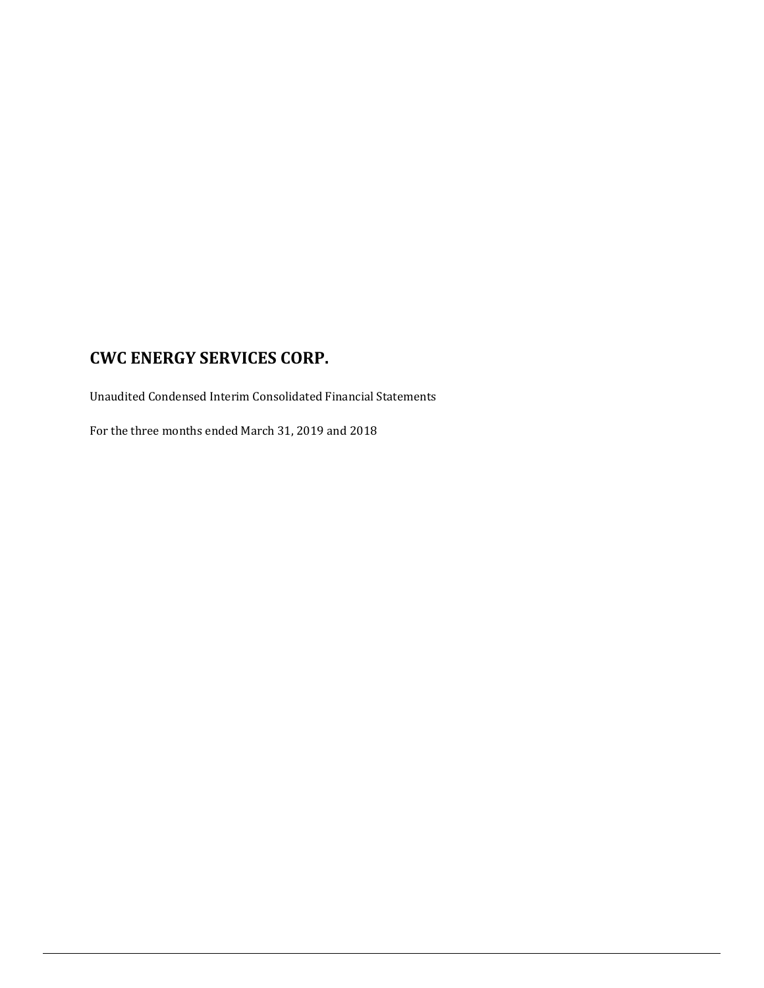Unaudited Condensed Interim Consolidated Financial Statements

For the three months ended March 31, 2019 and 2018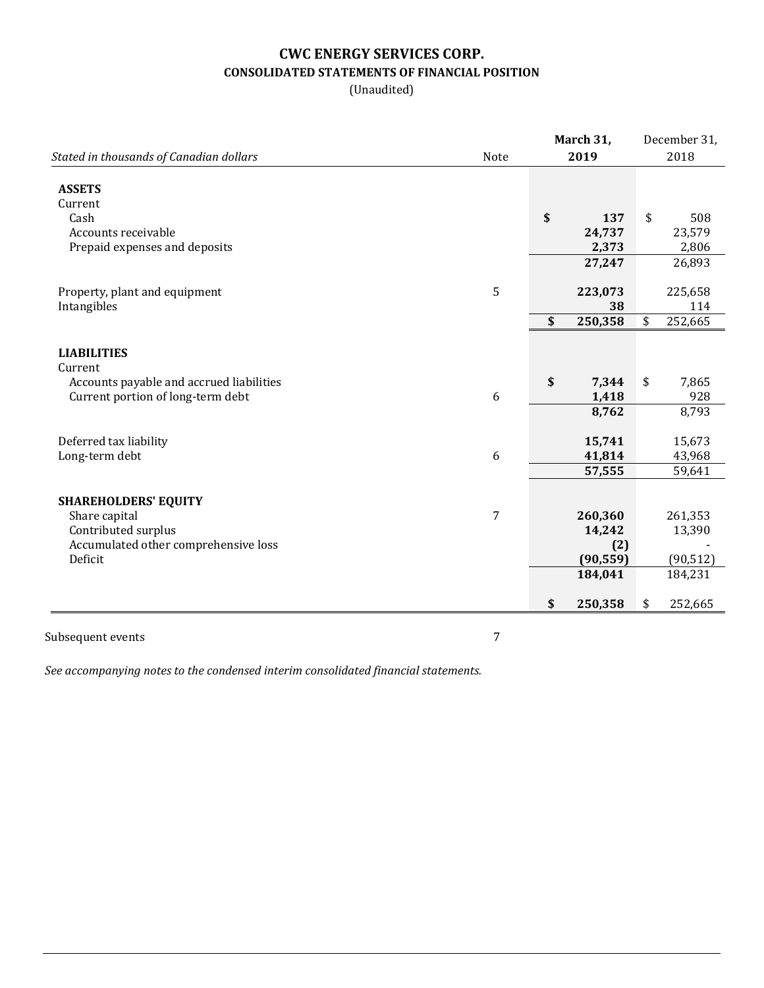# **CWC ENERGY SERVICES CORP. CONSOLIDATED STATEMENTS OF FINANCIAL POSITION**

(Unaudited)

|                                                                               |                | March 31, |                | December 31, |               |
|-------------------------------------------------------------------------------|----------------|-----------|----------------|--------------|---------------|
| Stated in thousands of Canadian dollars                                       | Note           |           | 2019           | 2018         |               |
| <b>ASSETS</b>                                                                 |                |           |                |              |               |
| Current                                                                       |                | \$        |                |              |               |
| Cash<br>Accounts receivable                                                   |                |           | 137<br>24,737  | \$           | 508<br>23,579 |
| Prepaid expenses and deposits                                                 |                |           | 2,373          |              | 2,806         |
|                                                                               |                |           | 27,247         |              | 26,893        |
|                                                                               |                |           |                |              |               |
| Property, plant and equipment                                                 | 5              |           | 223,073        |              | 225,658       |
| Intangibles                                                                   |                |           | 38             |              | 114           |
|                                                                               |                | \$        | 250,358        | \$           | 252,665       |
|                                                                               |                |           |                |              |               |
| <b>LIABILITIES</b>                                                            |                |           |                |              |               |
| Current                                                                       |                | \$        |                |              |               |
| Accounts payable and accrued liabilities<br>Current portion of long-term debt | 6              |           | 7,344<br>1,418 | \$           | 7,865<br>928  |
|                                                                               |                |           | 8,762          |              | 8,793         |
|                                                                               |                |           |                |              |               |
| Deferred tax liability                                                        |                |           | 15,741         |              | 15,673        |
| Long-term debt                                                                | 6              |           | 41,814         |              | 43,968        |
|                                                                               |                |           | 57,555         |              | 59,641        |
|                                                                               |                |           |                |              |               |
| <b>SHAREHOLDERS' EQUITY</b>                                                   |                |           |                |              |               |
| Share capital                                                                 | $\overline{7}$ |           | 260,360        |              | 261,353       |
| Contributed surplus                                                           |                |           | 14,242         |              | 13,390        |
| Accumulated other comprehensive loss                                          |                |           | (2)            |              |               |
| Deficit                                                                       |                |           | (90, 559)      |              | (90, 512)     |
|                                                                               |                |           | 184,041        |              | 184,231       |
|                                                                               |                | \$        | 250,358        | \$           | 252,665       |
|                                                                               |                |           |                |              |               |

Subsequent events 7

*See accompanying notes to the condensed interim consolidated financial statements.*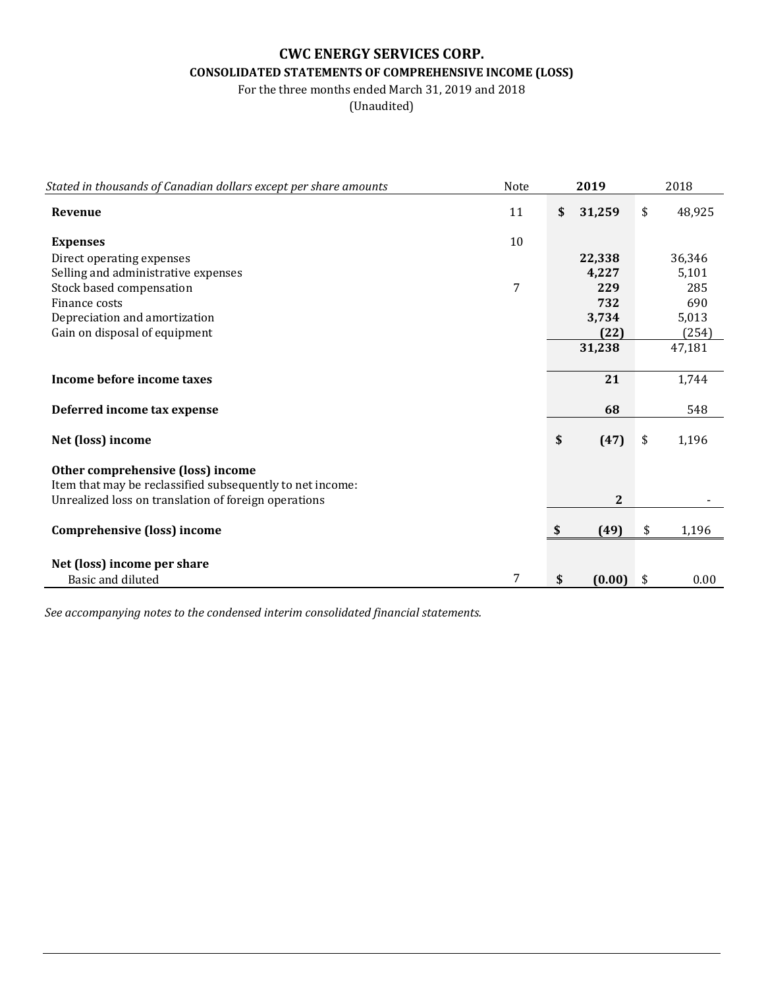# **CWC ENERGY SERVICES CORP. CONSOLIDATED STATEMENTS OF COMPREHENSIVE INCOME (LOSS)**

For the three months ended March 31, 2019 and 2018

(Unaudited)

| Stated in thousands of Canadian dollars except per share amounts | Note | 2019         | 2018         |
|------------------------------------------------------------------|------|--------------|--------------|
| Revenue                                                          | 11   | \$<br>31,259 | \$<br>48,925 |
| <b>Expenses</b>                                                  | 10   |              |              |
| Direct operating expenses                                        |      | 22,338       | 36,346       |
| Selling and administrative expenses                              |      | 4,227        | 5,101        |
| Stock based compensation                                         | 7    | 229          | 285          |
| Finance costs                                                    |      | 732          | 690          |
| Depreciation and amortization                                    |      | 3,734        | 5,013        |
| Gain on disposal of equipment                                    |      | (22)         | (254)        |
|                                                                  |      | 31,238       | 47,181       |
|                                                                  |      |              |              |
| Income before income taxes                                       |      | 21           | 1,744        |
| Deferred income tax expense                                      |      | 68           | 548          |
| Net (loss) income                                                |      | \$<br>(47)   | \$<br>1,196  |
| Other comprehensive (loss) income                                |      |              |              |
| Item that may be reclassified subsequently to net income:        |      |              |              |
| Unrealized loss on translation of foreign operations             |      | $\mathbf 2$  |              |
|                                                                  |      |              |              |
| Comprehensive (loss) income                                      |      | \$<br>(49)   | \$<br>1,196  |
|                                                                  |      |              |              |
| Net (loss) income per share                                      |      |              |              |
| Basic and diluted                                                | 7    | \$<br>(0.00) | \$<br>0.00   |

*See accompanying notes to the condensed interim consolidated financial statements.*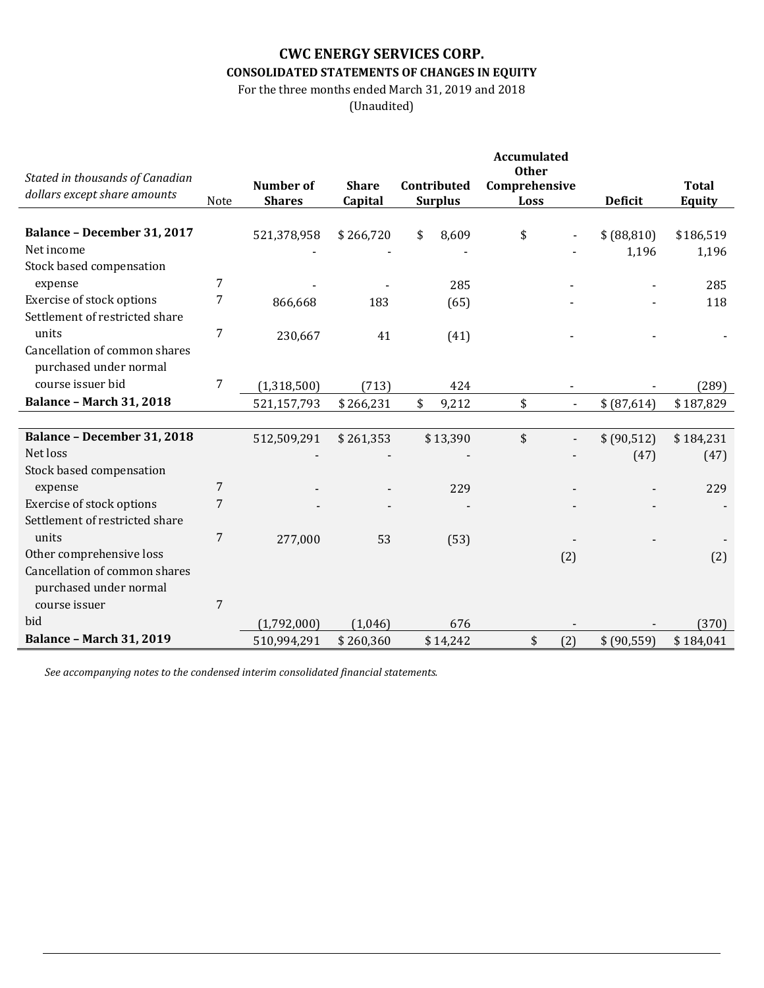# **CWC ENERGY SERVICES CORP. CONSOLIDATED STATEMENTS OF CHANGES IN EQUITY**

For the three months ended March 31, 2019 and 2018

(Unaudited)

|                                    |                |                  |              |                | <b>Accumulated</b><br><b>Other</b> |                |              |
|------------------------------------|----------------|------------------|--------------|----------------|------------------------------------|----------------|--------------|
| Stated in thousands of Canadian    |                | <b>Number</b> of | <b>Share</b> | Contributed    | Comprehensive                      |                | <b>Total</b> |
| dollars except share amounts       | Note           | <b>Shares</b>    | Capital      | <b>Surplus</b> | Loss                               | <b>Deficit</b> | Equity       |
|                                    |                |                  |              |                |                                    |                |              |
| <b>Balance - December 31, 2017</b> |                | 521,378,958      | \$266,720    | \$<br>8,609    | \$                                 | \$ (88, 810)   | \$186,519    |
| Net income                         |                |                  |              |                |                                    | 1,196          | 1,196        |
| Stock based compensation           |                |                  |              |                |                                    |                |              |
| expense                            | 7              |                  |              | 285            |                                    |                | 285          |
| Exercise of stock options          | 7              | 866,668          | 183          | (65)           |                                    |                | 118          |
| Settlement of restricted share     |                |                  |              |                |                                    |                |              |
| units                              | 7              | 230,667          | 41           | (41)           |                                    |                |              |
| Cancellation of common shares      |                |                  |              |                |                                    |                |              |
| purchased under normal             |                |                  |              |                |                                    |                |              |
| course issuer bid                  | 7              | (1,318,500)      | (713)        | 424            |                                    |                | (289)        |
| <b>Balance - March 31, 2018</b>    |                | 521,157,793      | \$266,231    | \$<br>9,212    | \$                                 | \$ (87,614)    | \$187,829    |
|                                    |                |                  |              |                |                                    |                |              |
| <b>Balance - December 31, 2018</b> |                | 512,509,291      | \$261,353    | \$13,390       | \$                                 | \$ (90,512)    | \$184,231    |
| Net loss                           |                |                  |              |                |                                    | (47)           | (47)         |
| Stock based compensation           |                |                  |              |                |                                    |                |              |
| expense                            | 7              |                  |              | 229            |                                    |                | 229          |
| Exercise of stock options          | 7              |                  |              |                |                                    |                |              |
| Settlement of restricted share     |                |                  |              |                |                                    |                |              |
| units                              | 7              | 277,000          | 53           | (53)           |                                    |                |              |
| Other comprehensive loss           |                |                  |              |                | (2)                                |                | (2)          |
| Cancellation of common shares      |                |                  |              |                |                                    |                |              |
| purchased under normal             |                |                  |              |                |                                    |                |              |
| course issuer                      | $\overline{7}$ |                  |              |                |                                    |                |              |
| bid                                |                | (1,792,000)      | (1,046)      | 676            |                                    |                | (370)        |
| <b>Balance - March 31, 2019</b>    |                | 510,994,291      | \$260,360    | \$14,242       | \$<br>(2)                          | \$ (90, 559)   | \$184,041    |

*See accompanying notes to the condensed interim consolidated financial statements.*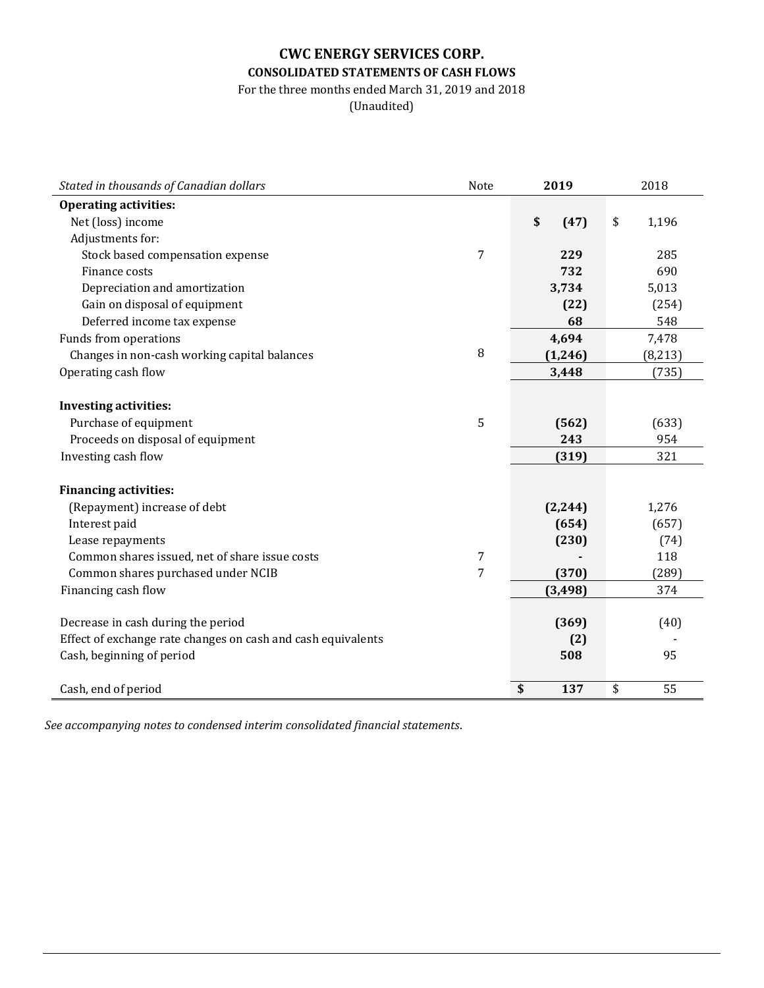# **CWC ENERGY SERVICES CORP. CONSOLIDATED STATEMENTS OF CASH FLOWS**

For the three months ended March 31, 2019 and 2018

(Unaudited)

| Stated in thousands of Canadian dollars                      | Note           | 2019       | 2018        |  |
|--------------------------------------------------------------|----------------|------------|-------------|--|
| <b>Operating activities:</b>                                 |                |            |             |  |
| Net (loss) income                                            |                | \$<br>(47) | \$<br>1,196 |  |
| Adjustments for:                                             |                |            |             |  |
| Stock based compensation expense                             | $\overline{7}$ | 229        | 285         |  |
| Finance costs                                                |                | 732        | 690         |  |
| Depreciation and amortization                                |                | 3,734      | 5,013       |  |
| Gain on disposal of equipment                                |                | (22)       | (254)       |  |
| Deferred income tax expense                                  |                | 68         | 548         |  |
| Funds from operations                                        |                | 4,694      | 7,478       |  |
| Changes in non-cash working capital balances                 | 8              | (1, 246)   | (8, 213)    |  |
| Operating cash flow                                          |                | 3,448      | (735)       |  |
|                                                              |                |            |             |  |
| <b>Investing activities:</b>                                 |                |            |             |  |
| Purchase of equipment                                        | 5              | (562)      | (633)       |  |
| Proceeds on disposal of equipment                            |                | 243        | 954         |  |
| Investing cash flow                                          |                | (319)      | 321         |  |
|                                                              |                |            |             |  |
| <b>Financing activities:</b>                                 |                |            |             |  |
| (Repayment) increase of debt                                 |                | (2, 244)   | 1,276       |  |
| Interest paid                                                |                | (654)      | (657)       |  |
| Lease repayments                                             |                | (230)      | (74)        |  |
| Common shares issued, net of share issue costs               | 7              |            | 118         |  |
| Common shares purchased under NCIB                           | 7              | (370)      | (289)       |  |
| Financing cash flow                                          |                | (3, 498)   | 374         |  |
|                                                              |                |            |             |  |
| Decrease in cash during the period                           |                | (369)      | (40)        |  |
| Effect of exchange rate changes on cash and cash equivalents |                | (2)        |             |  |
| Cash, beginning of period                                    |                | 508        | 95          |  |
|                                                              |                |            |             |  |
| Cash, end of period                                          |                | \$<br>137  | \$<br>55    |  |

*See accompanying notes to condensed interim consolidated financial statements*.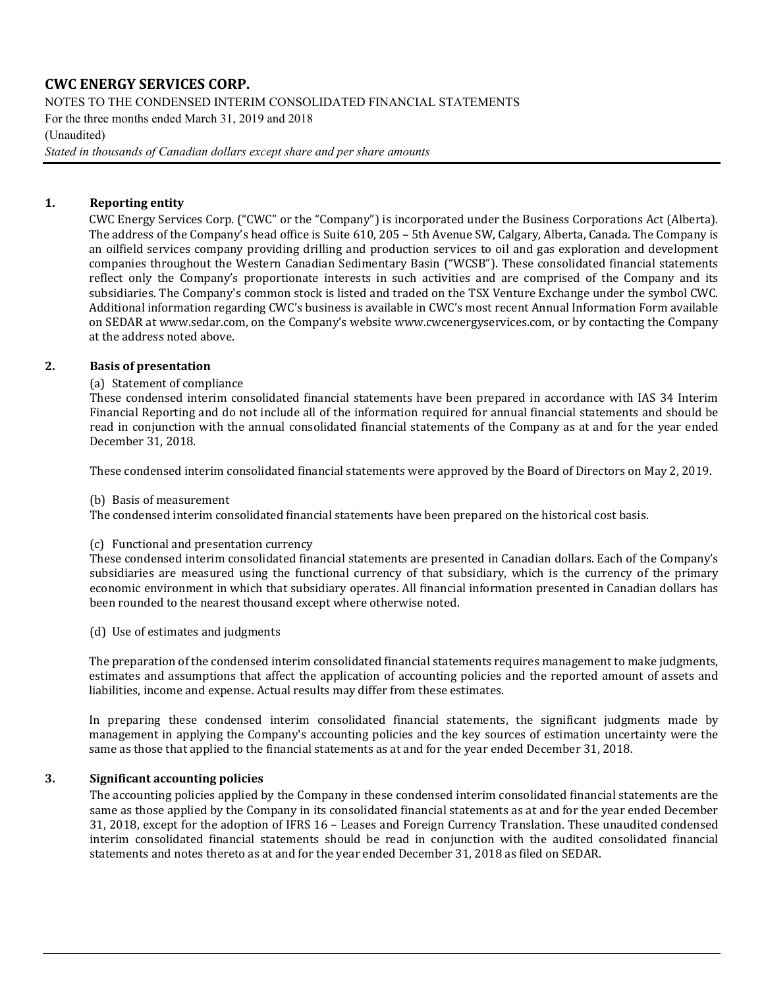NOTES TO THE CONDENSED INTERIM CONSOLIDATED FINANCIAL STATEMENTS

For the three months ended March 31, 2019 and 2018

(Unaudited)

*Stated in thousands of Canadian dollars except share and per share amounts*

### **1. Reporting entity**

CWC Energy Services Corp. ("CWC" or the "Company") is incorporated under the Business Corporations Act (Alberta). The address of the Company's head office is Suite 610, 205 – 5th Avenue SW, Calgary, Alberta, Canada. The Company is an oilfield services company providing drilling and production services to oil and gas exploration and development companies throughout the Western Canadian Sedimentary Basin ("WCSB"). These consolidated financial statements reflect only the Company's proportionate interests in such activities and are comprised of the Company and its subsidiaries. The Company's common stock is listed and traded on the TSX Venture Exchange under the symbol CWC. Additional information regarding CWC's business is available in CWC's most recent Annual Information Form available on SEDAR at [www.sedar.com,](http://www.sedar.com/) on the Company's websit[e www.cwcenergyservices.com,](http://www.cwcenergyservices.com/) or by contacting the Company at the address noted above.

### **2. Basis of presentation**

### (a) Statement of compliance

These condensed interim consolidated financial statements have been prepared in accordance with IAS 34 Interim Financial Reporting and do not include all of the information required for annual financial statements and should be read in conjunction with the annual consolidated financial statements of the Company as at and for the year ended December 31, 2018.

These condensed interim consolidated financial statements were approved by the Board of Directors on May 2, 2019.

### (b) Basis of measurement

The condensed interim consolidated financial statements have been prepared on the historical cost basis.

### (c) Functional and presentation currency

These condensed interim consolidated financial statements are presented in Canadian dollars. Each of the Company's subsidiaries are measured using the functional currency of that subsidiary, which is the currency of the primary economic environment in which that subsidiary operates. All financial information presented in Canadian dollars has been rounded to the nearest thousand except where otherwise noted.

(d) Use of estimates and judgments

The preparation of the condensed interim consolidated financial statements requires management to make judgments, estimates and assumptions that affect the application of accounting policies and the reported amount of assets and liabilities, income and expense. Actual results may differ from these estimates.

In preparing these condensed interim consolidated financial statements, the significant judgments made by management in applying the Company's accounting policies and the key sources of estimation uncertainty were the same as those that applied to the financial statements as at and for the year ended December 31, 2018.

### **3. Significant accounting policies**

The accounting policies applied by the Company in these condensed interim consolidated financial statements are the same as those applied by the Company in its consolidated financial statements as at and for the year ended December 31, 2018, except for the adoption of IFRS 16 – Leases and Foreign Currency Translation. These unaudited condensed interim consolidated financial statements should be read in conjunction with the audited consolidated financial statements and notes thereto as at and for the year ended December 31, 2018 as filed on SEDAR.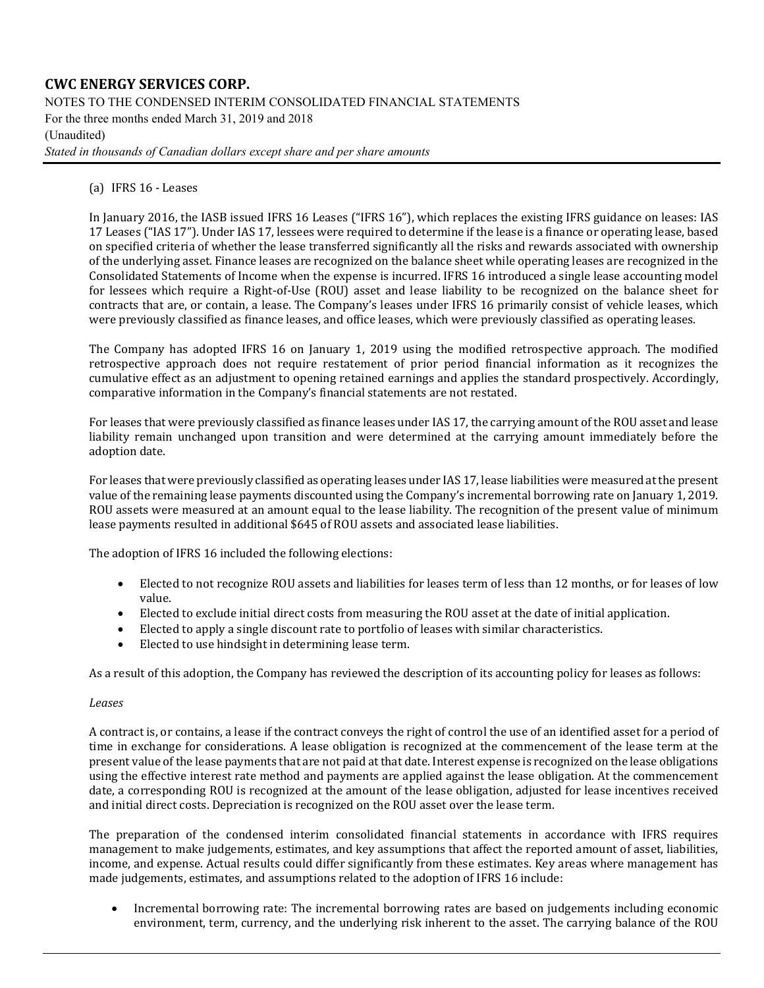NOTES TO THE CONDENSED INTERIM CONSOLIDATED FINANCIAL STATEMENTS

For the three months ended March 31, 2019 and 2018

### (Unaudited)

*Stated in thousands of Canadian dollars except share and per share amounts*

(a) IFRS 16 - Leases

In January 2016, the IASB issued IFRS 16 Leases ("IFRS 16"), which replaces the existing IFRS guidance on leases: IAS 17 Leases ("IAS 17"). Under IAS 17, lessees were required to determine if the lease is a finance or operating lease, based on specified criteria of whether the lease transferred significantly all the risks and rewards associated with ownership of the underlying asset. Finance leases are recognized on the balance sheet while operating leases are recognized in the Consolidated Statements of Income when the expense is incurred. IFRS 16 introduced a single lease accounting model for lessees which require a Right-of-Use (ROU) asset and lease liability to be recognized on the balance sheet for contracts that are, or contain, a lease. The Company's leases under IFRS 16 primarily consist of vehicle leases, which were previously classified as finance leases, and office leases, which were previously classified as operating leases.

The Company has adopted IFRS 16 on January 1, 2019 using the modified retrospective approach. The modified retrospective approach does not require restatement of prior period financial information as it recognizes the cumulative effect as an adjustment to opening retained earnings and applies the standard prospectively. Accordingly, comparative information in the Company's financial statements are not restated.

For leases that were previously classified as finance leases under IAS 17, the carrying amount of the ROU asset and lease liability remain unchanged upon transition and were determined at the carrying amount immediately before the adoption date.

For leases that were previously classified as operating leases under IAS 17, lease liabilities were measured at the present value of the remaining lease payments discounted using the Company's incremental borrowing rate on January 1, 2019. ROU assets were measured at an amount equal to the lease liability. The recognition of the present value of minimum lease payments resulted in additional \$645 of ROU assets and associated lease liabilities.

The adoption of IFRS 16 included the following elections:

- Elected to not recognize ROU assets and liabilities for leases term of less than 12 months, or for leases of low value.
- Elected to exclude initial direct costs from measuring the ROU asset at the date of initial application.
- Elected to apply a single discount rate to portfolio of leases with similar characteristics.
- Elected to use hindsight in determining lease term.

As a result of this adoption, the Company has reviewed the description of its accounting policy for leases as follows:

#### *Leases*

A contract is, or contains, a lease if the contract conveys the right of control the use of an identified asset for a period of time in exchange for considerations. A lease obligation is recognized at the commencement of the lease term at the present value of the lease payments that are not paid at that date. Interest expense is recognized on the lease obligations using the effective interest rate method and payments are applied against the lease obligation. At the commencement date, a corresponding ROU is recognized at the amount of the lease obligation, adjusted for lease incentives received and initial direct costs. Depreciation is recognized on the ROU asset over the lease term.

The preparation of the condensed interim consolidated financial statements in accordance with IFRS requires management to make judgements, estimates, and key assumptions that affect the reported amount of asset, liabilities, income, and expense. Actual results could differ significantly from these estimates. Key areas where management has made judgements, estimates, and assumptions related to the adoption of IFRS 16 include:

• Incremental borrowing rate: The incremental borrowing rates are based on judgements including economic environment, term, currency, and the underlying risk inherent to the asset. The carrying balance of the ROU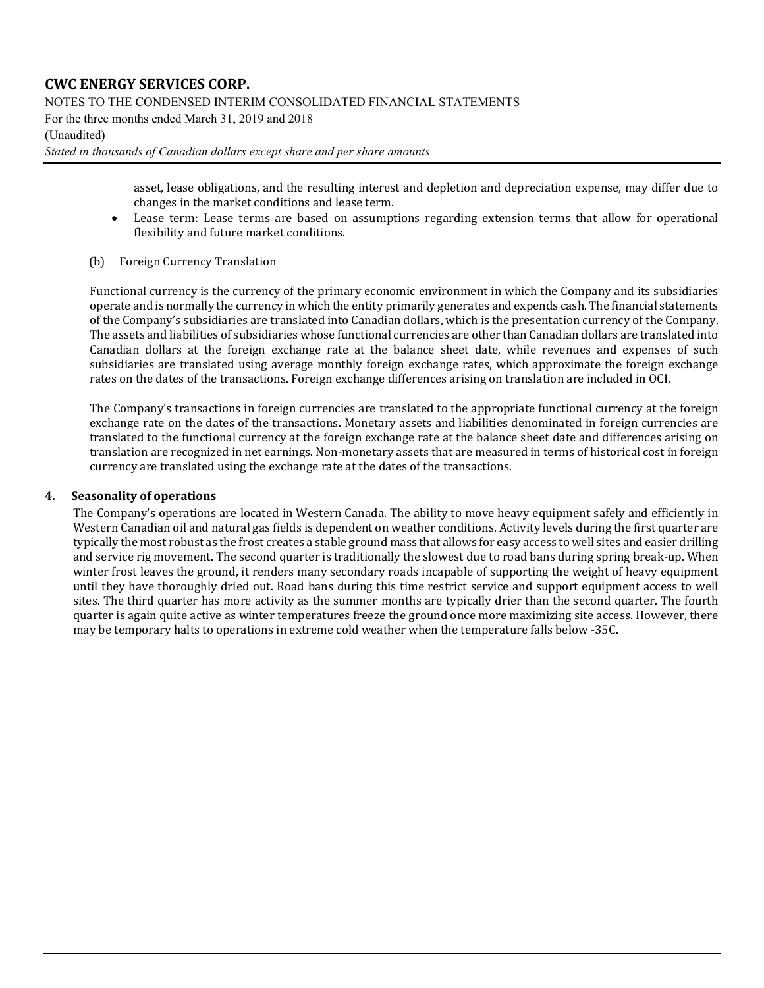NOTES TO THE CONDENSED INTERIM CONSOLIDATED FINANCIAL STATEMENTS

For the three months ended March 31, 2019 and 2018

#### (Unaudited)

*Stated in thousands of Canadian dollars except share and per share amounts*

asset, lease obligations, and the resulting interest and depletion and depreciation expense, may differ due to changes in the market conditions and lease term.

- Lease term: Lease terms are based on assumptions regarding extension terms that allow for operational flexibility and future market conditions.
- (b) Foreign Currency Translation

Functional currency is the currency of the primary economic environment in which the Company and its subsidiaries operate and is normally the currency in which the entity primarily generates and expends cash. The financial statements of the Company's subsidiaries are translated into Canadian dollars, which is the presentation currency of the Company. The assets and liabilities of subsidiaries whose functional currencies are other than Canadian dollars are translated into Canadian dollars at the foreign exchange rate at the balance sheet date, while revenues and expenses of such subsidiaries are translated using average monthly foreign exchange rates, which approximate the foreign exchange rates on the dates of the transactions. Foreign exchange differences arising on translation are included in OCI.

The Company's transactions in foreign currencies are translated to the appropriate functional currency at the foreign exchange rate on the dates of the transactions. Monetary assets and liabilities denominated in foreign currencies are translated to the functional currency at the foreign exchange rate at the balance sheet date and differences arising on translation are recognized in net earnings. Non-monetary assets that are measured in terms of historical cost in foreign currency are translated using the exchange rate at the dates of the transactions.

#### **4. Seasonality of operations**

The Company's operations are located in Western Canada. The ability to move heavy equipment safely and efficiently in Western Canadian oil and natural gas fields is dependent on weather conditions. Activity levels during the first quarter are typically the most robust as the frost creates a stable ground mass that allows for easy access to well sites and easier drilling and service rig movement. The second quarter is traditionally the slowest due to road bans during spring break-up. When winter frost leaves the ground, it renders many secondary roads incapable of supporting the weight of heavy equipment until they have thoroughly dried out. Road bans during this time restrict service and support equipment access to well sites. The third quarter has more activity as the summer months are typically drier than the second quarter. The fourth quarter is again quite active as winter temperatures freeze the ground once more maximizing site access. However, there may be temporary halts to operations in extreme cold weather when the temperature falls below -35C.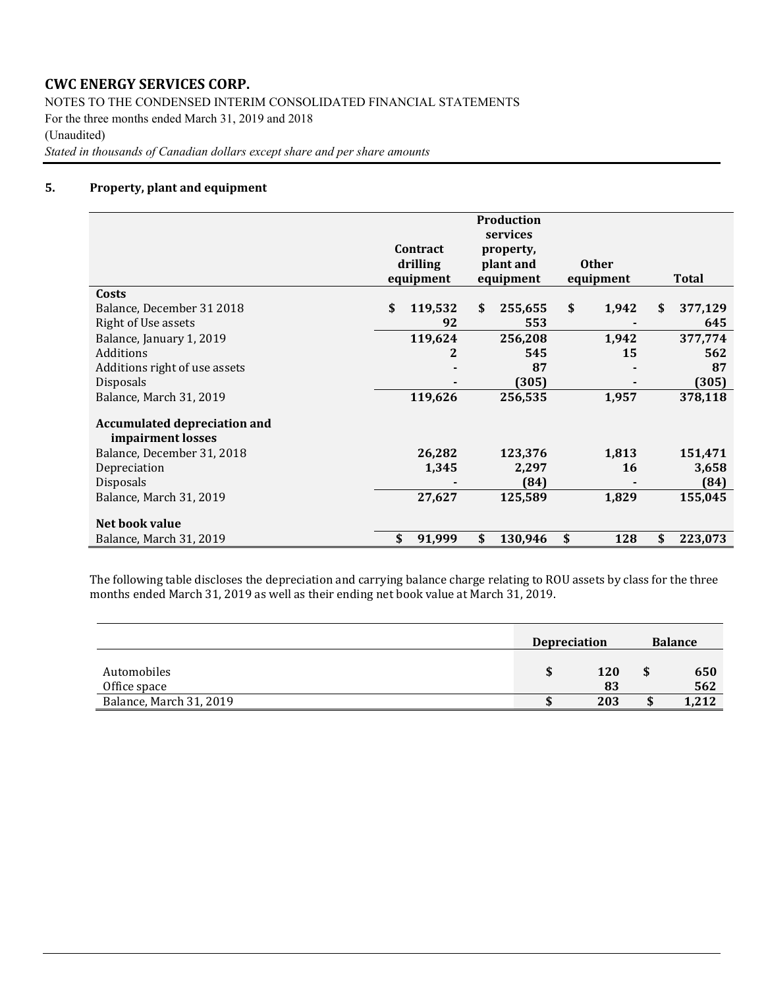NOTES TO THE CONDENSED INTERIM CONSOLIDATED FINANCIAL STATEMENTS For the three months ended March 31, 2019 and 2018 (Unaudited)

*Stated in thousands of Canadian dollars except share and per share amounts*

#### **5. Property, plant and equipment**

|                                                          | Contract<br>drilling<br>equipment | <b>Production</b><br>services<br>property,<br>plant and<br>equipment | <b>Other</b><br>equipment | Total         |
|----------------------------------------------------------|-----------------------------------|----------------------------------------------------------------------|---------------------------|---------------|
| Costs                                                    |                                   |                                                                      |                           |               |
| Balance, December 31 2018                                | \$<br>119,532                     | \$<br>255,655                                                        | \$<br>1,942               | \$<br>377,129 |
| <b>Right of Use assets</b>                               | 92                                | 553                                                                  |                           | 645           |
| Balance, January 1, 2019                                 | 119,624                           | 256,208                                                              | 1,942                     | 377,774       |
| Additions                                                | 2                                 | 545                                                                  | 15                        | 562           |
| Additions right of use assets                            |                                   | 87                                                                   |                           | 87            |
| <b>Disposals</b>                                         |                                   | (305)                                                                |                           | (305)         |
| Balance, March 31, 2019                                  | 119,626                           | 256,535                                                              | 1,957                     | 378,118       |
| <b>Accumulated depreciation and</b><br>impairment losses |                                   |                                                                      |                           |               |
| Balance, December 31, 2018                               | 26,282                            | 123,376                                                              | 1,813                     | 151,471       |
| Depreciation                                             | 1,345                             | 2,297                                                                | 16                        | 3,658         |
| <b>Disposals</b>                                         |                                   | (84)                                                                 |                           | (84)          |
| Balance, March 31, 2019                                  | 27,627                            | 125,589                                                              | 1,829                     | 155,045       |
| Net book value                                           |                                   |                                                                      |                           |               |
| Balance, March 31, 2019                                  | \$<br>91,999                      | \$<br>130,946                                                        | \$<br>128                 | \$<br>223,073 |

The following table discloses the depreciation and carrying balance charge relating to ROU assets by class for the three months ended March 31, 2019 as well as their ending net book value at March 31, 2019.

|                             | <b>Depreciation</b> |                  | <b>Balance</b> |            |  |
|-----------------------------|---------------------|------------------|----------------|------------|--|
| Automobiles<br>Office space |                     | <b>120</b><br>83 |                | 650<br>562 |  |
| Balance, March 31, 2019     |                     | 203              | ۰D             | 1,212      |  |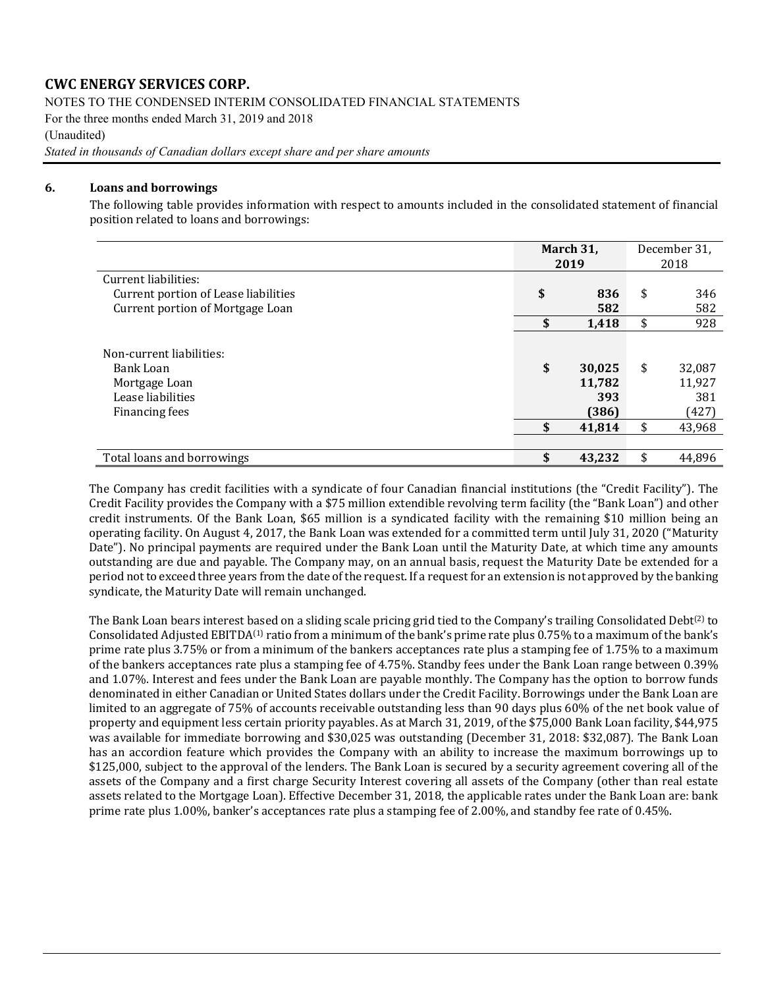NOTES TO THE CONDENSED INTERIM CONSOLIDATED FINANCIAL STATEMENTS

For the three months ended March 31, 2019 and 2018

(Unaudited)

*Stated in thousands of Canadian dollars except share and per share amounts*

### **6. Loans and borrowings**

The following table provides information with respect to amounts included in the consolidated statement of financial position related to loans and borrowings:

|                                                                                               |          | March 31,<br>2019                          | December 31,<br>2018 |                                            |
|-----------------------------------------------------------------------------------------------|----------|--------------------------------------------|----------------------|--------------------------------------------|
| Current liabilities:                                                                          |          |                                            |                      |                                            |
| Current portion of Lease liabilities                                                          | \$       | 836                                        | \$                   | 346                                        |
| Current portion of Mortgage Loan                                                              |          | 582                                        |                      | 582                                        |
|                                                                                               | \$       | 1,418                                      | \$                   | 928                                        |
| Non-current liabilities:<br>Bank Loan<br>Mortgage Loan<br>Lease liabilities<br>Financing fees | \$<br>\$ | 30,025<br>11,782<br>393<br>(386)<br>41,814 | \$<br>\$             | 32,087<br>11,927<br>381<br>(427)<br>43,968 |
| Total loans and borrowings                                                                    |          | 43,232                                     |                      | 44,896                                     |

The Company has credit facilities with a syndicate of four Canadian financial institutions (the "Credit Facility"). The Credit Facility provides the Company with a \$75 million extendible revolving term facility (the "Bank Loan") and other credit instruments. Of the Bank Loan, \$65 million is a syndicated facility with the remaining \$10 million being an operating facility. On August 4, 2017, the Bank Loan was extended for a committed term until July 31, 2020 ("Maturity Date"). No principal payments are required under the Bank Loan until the Maturity Date, at which time any amounts outstanding are due and payable. The Company may, on an annual basis, request the Maturity Date be extended for a period not to exceed three years from the date of the request. If a request for an extension is not approved by the banking syndicate, the Maturity Date will remain unchanged.

The Bank Loan bears interest based on a sliding scale pricing grid tied to the Company's trailing Consolidated Debt<sup>(2)</sup> to Consolidated Adjusted EBITDA(1) ratio from a minimum of the bank's prime rate plus 0.75% to a maximum of the bank's prime rate plus 3.75% or from a minimum of the bankers acceptances rate plus a stamping fee of 1.75% to a maximum of the bankers acceptances rate plus a stamping fee of 4.75%. Standby fees under the Bank Loan range between 0.39% and 1.07%. Interest and fees under the Bank Loan are payable monthly. The Company has the option to borrow funds denominated in either Canadian or United States dollars under the Credit Facility. Borrowings under the Bank Loan are limited to an aggregate of 75% of accounts receivable outstanding less than 90 days plus 60% of the net book value of property and equipment less certain priority payables. As at March 31, 2019, of the \$75,000 Bank Loan facility, \$44,975 was available for immediate borrowing and \$30,025 was outstanding (December 31, 2018: \$32,087). The Bank Loan has an accordion feature which provides the Company with an ability to increase the maximum borrowings up to \$125,000, subject to the approval of the lenders. The Bank Loan is secured by a security agreement covering all of the assets of the Company and a first charge Security Interest covering all assets of the Company (other than real estate assets related to the Mortgage Loan). Effective December 31, 2018, the applicable rates under the Bank Loan are: bank prime rate plus 1.00%, banker's acceptances rate plus a stamping fee of 2.00%, and standby fee rate of 0.45%.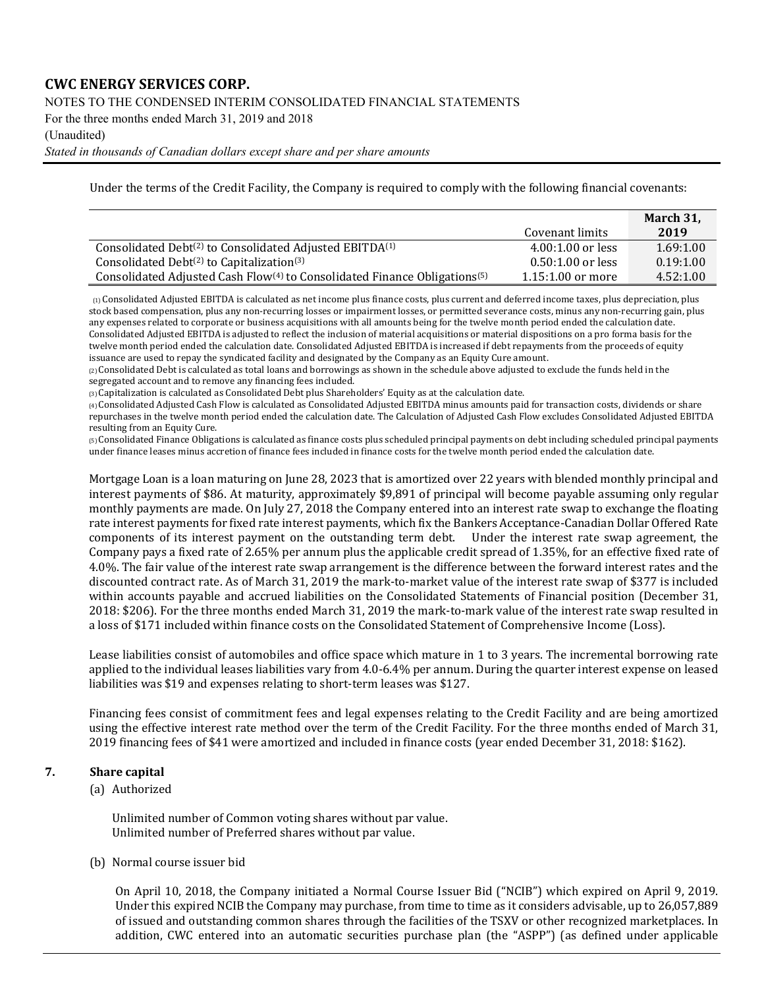NOTES TO THE CONDENSED INTERIM CONSOLIDATED FINANCIAL STATEMENTS

For the three months ended March 31, 2019 and 2018

#### (Unaudited)

*Stated in thousands of Canadian dollars except share and per share amounts*

Under the terms of the Credit Facility, the Company is required to comply with the following financial covenants:

|                                                                                                   |                     | March 31, |
|---------------------------------------------------------------------------------------------------|---------------------|-----------|
|                                                                                                   | Covenant limits     | 2019      |
| Consolidated Debt <sup>(2)</sup> to Consolidated Adjusted EBITDA <sup>(1)</sup>                   | $4.00:1.00$ or less | 1.69:1.00 |
| Consolidated Debt $(2)$ to Capitalization $(3)$                                                   | $0.50:1.00$ or less | 0.19:1.00 |
| Consolidated Adjusted Cash Flow <sup>(4)</sup> to Consolidated Finance Obligations <sup>(5)</sup> | $1.15:1.00$ or more | 4.52:1.00 |

(1) Consolidated Adjusted EBITDA is calculated as net income plus finance costs, plus current and deferred income taxes, plus depreciation, plus stock based compensation, plus any non-recurring losses or impairment losses, or permitted severance costs, minus any non-recurring gain, plus any expenses related to corporate or business acquisitions with all amounts being for the twelve month period ended the calculation date. Consolidated Adjusted EBITDA is adjusted to reflect the inclusion of material acquisitions or material dispositions on a pro forma basis for the twelve month period ended the calculation date. Consolidated Adjusted EBITDA is increased if debt repayments from the proceeds of equity issuance are used to repay the syndicated facility and designated by the Company as an Equity Cure amount.

 $(2)$  Consolidated Debt is calculated as total loans and borrowings as shown in the schedule above adjusted to exclude the funds held in the segregated account and to remove any financing fees included.

(3) Capitalization is calculated as Consolidated Debt plus Shareholders' Equity as at the calculation date.

(4) Consolidated Adjusted Cash Flow is calculated as Consolidated Adjusted EBITDA minus amounts paid for transaction costs, dividends or share repurchases in the twelve month period ended the calculation date. The Calculation of Adjusted Cash Flow excludes Consolidated Adjusted EBITDA resulting from an Equity Cure.

(5) Consolidated Finance Obligations is calculated as finance costs plus scheduled principal payments on debt including scheduled principal payments under finance leases minus accretion of finance fees included in finance costs for the twelve month period ended the calculation date.

Mortgage Loan is a loan maturing on June 28, 2023 that is amortized over 22 years with blended monthly principal and interest payments of \$86. At maturity, approximately \$9,891 of principal will become payable assuming only regular monthly payments are made. On July 27, 2018 the Company entered into an interest rate swap to exchange the floating rate interest payments for fixed rate interest payments, which fix the Bankers Acceptance-Canadian Dollar Offered Rate components of its interest payment on the outstanding term debt. Under the interest rate swap agreement, the Company pays a fixed rate of 2.65% per annum plus the applicable credit spread of 1.35%, for an effective fixed rate of 4.0%. The fair value of the interest rate swap arrangement is the difference between the forward interest rates and the discounted contract rate. As of March 31, 2019 the mark-to-market value of the interest rate swap of \$377 is included within accounts payable and accrued liabilities on the Consolidated Statements of Financial position (December 31, 2018: \$206). For the three months ended March 31, 2019 the mark-to-mark value of the interest rate swap resulted in a loss of \$171 included within finance costs on the Consolidated Statement of Comprehensive Income (Loss).

Lease liabilities consist of automobiles and office space which mature in 1 to 3 years. The incremental borrowing rate applied to the individual leases liabilities vary from 4.0-6.4% per annum. During the quarter interest expense on leased liabilities was \$19 and expenses relating to short-term leases was \$127.

Financing fees consist of commitment fees and legal expenses relating to the Credit Facility and are being amortized using the effective interest rate method over the term of the Credit Facility. For the three months ended of March 31, 2019 financing fees of \$41 were amortized and included in finance costs (year ended December 31, 2018: \$162).

### **7. Share capital**

(a) Authorized

Unlimited number of Common voting shares without par value. Unlimited number of Preferred shares without par value.

(b) Normal course issuer bid

On April 10, 2018, the Company initiated a Normal Course Issuer Bid ("NCIB") which expired on April 9, 2019. Under this expired NCIB the Company may purchase, from time to time as it considers advisable, up to 26,057,889 of issued and outstanding common shares through the facilities of the TSXV or other recognized marketplaces. In addition, CWC entered into an automatic securities purchase plan (the "ASPP") (as defined under applicable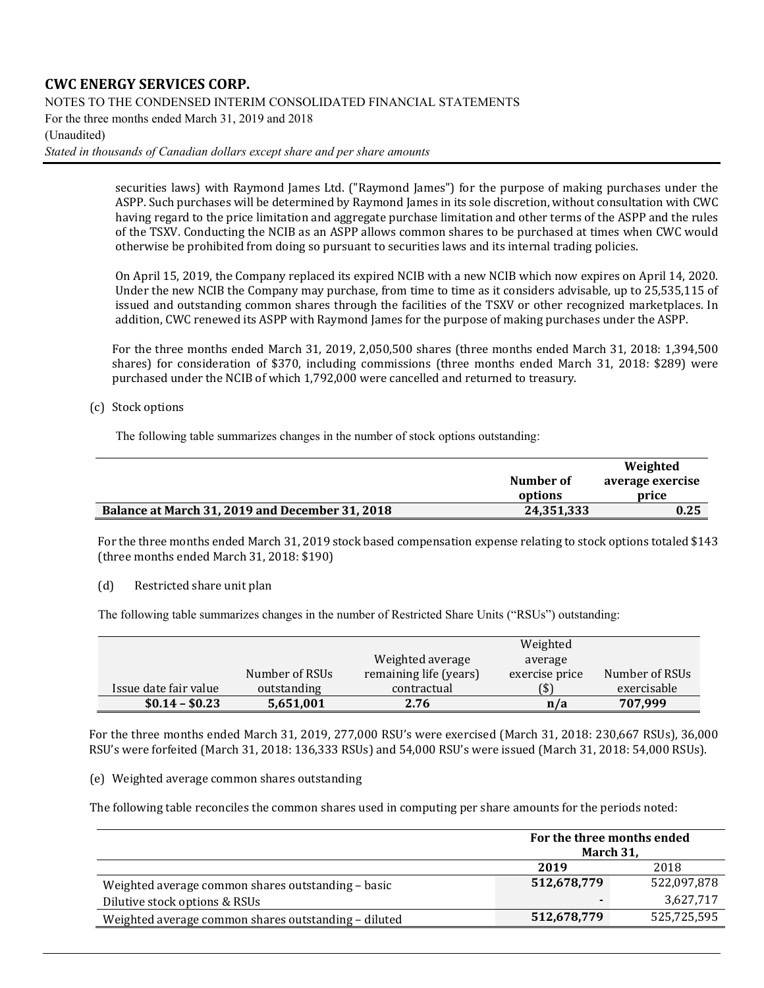NOTES TO THE CONDENSED INTERIM CONSOLIDATED FINANCIAL STATEMENTS

For the three months ended March 31, 2019 and 2018

#### (Unaudited)

*Stated in thousands of Canadian dollars except share and per share amounts*

securities laws) with Raymond James Ltd. ("Raymond James") for the purpose of making purchases under the ASPP. Such purchases will be determined by Raymond James in its sole discretion, without consultation with CWC having regard to the price limitation and aggregate purchase limitation and other terms of the ASPP and the rules of the TSXV. Conducting the NCIB as an ASPP allows common shares to be purchased at times when CWC would otherwise be prohibited from doing so pursuant to securities laws and its internal trading policies.

On April 15, 2019, the Company replaced its expired NCIB with a new NCIB which now expires on April 14, 2020. Under the new NCIB the Company may purchase, from time to time as it considers advisable, up to 25,535,115 of issued and outstanding common shares through the facilities of the TSXV or other recognized marketplaces. In addition, CWC renewed its ASPP with Raymond James for the purpose of making purchases under the ASPP.

For the three months ended March 31, 2019, 2,050,500 shares (three months ended March 31, 2018: 1,394,500 shares) for consideration of \$370, including commissions (three months ended March 31, 2018: \$289) were purchased under the NCIB of which 1,792,000 were cancelled and returned to treasury.

### (c) Stock options

The following table summarizes changes in the number of stock options outstanding:

|                                                 |            | Weighted         |
|-------------------------------------------------|------------|------------------|
|                                                 | Number of  | average exercise |
|                                                 | options    | price            |
| Balance at March 31, 2019 and December 31, 2018 | 24,351,333 | 0.25             |

For the three months ended March 31, 2019 stock based compensation expense relating to stock options totaled \$143 (three months ended March 31, 2018: \$190)

(d) Restricted share unit plan

The following table summarizes changes in the number of Restricted Share Units ("RSUs") outstanding:

|                       |                |                        | Weighted       |                |
|-----------------------|----------------|------------------------|----------------|----------------|
|                       |                | Weighted average       | average        |                |
|                       | Number of RSUs | remaining life (years) | exercise price | Number of RSUs |
| Issue date fair value | outstanding    | contractual            | (\$)           | exercisable    |
| $$0.14 - $0.23$       | 5,651,001      | 2.76                   | n/a            | 707,999        |

For the three months ended March 31, 2019, 277,000 RSU's were exercised (March 31, 2018: 230,667 RSUs), 36,000 RSU's were forfeited (March 31, 2018: 136,333 RSUs) and 54,000 RSU's were issued (March 31, 2018: 54,000 RSUs).

#### (e) Weighted average common shares outstanding

The following table reconciles the common shares used in computing per share amounts for the periods noted:

|                                                      | For the three months ended<br>March 31, |             |  |
|------------------------------------------------------|-----------------------------------------|-------------|--|
|                                                      | 2019<br>2018                            |             |  |
| Weighted average common shares outstanding - basic   | 512,678,779                             | 522,097,878 |  |
| Dilutive stock options & RSUs                        |                                         | 3,627,717   |  |
| Weighted average common shares outstanding - diluted | 512,678,779                             | 525,725,595 |  |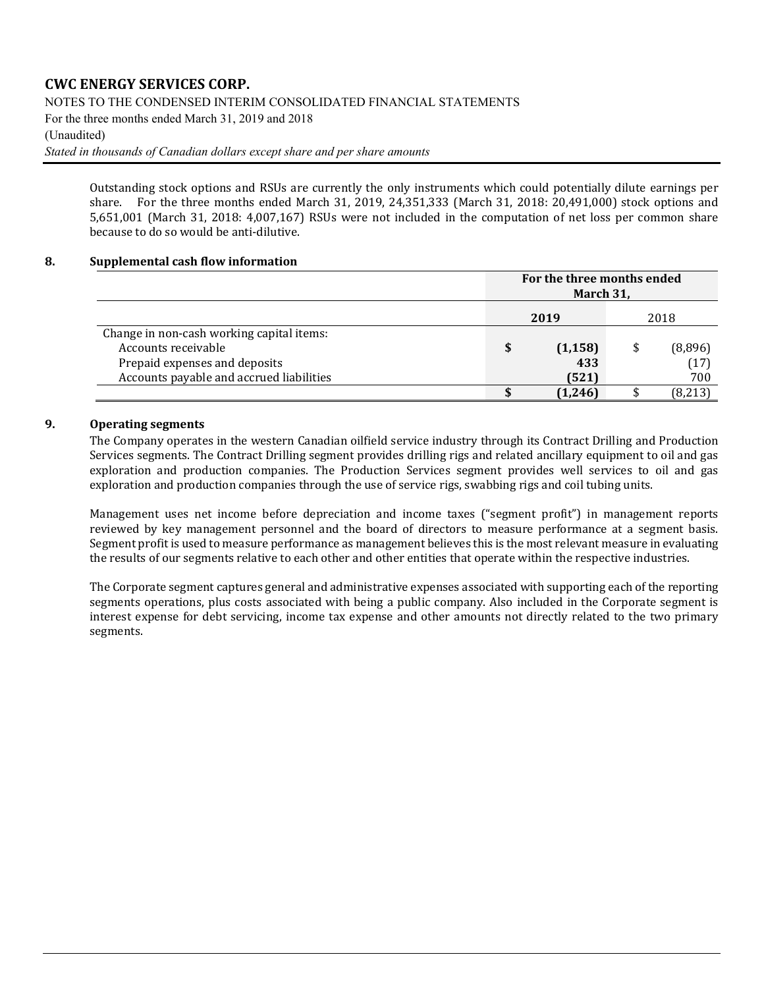NOTES TO THE CONDENSED INTERIM CONSOLIDATED FINANCIAL STATEMENTS

For the three months ended March 31, 2019 and 2018

#### (Unaudited)

*Stated in thousands of Canadian dollars except share and per share amounts*

Outstanding stock options and RSUs are currently the only instruments which could potentially dilute earnings per share. For the three months ended March 31, 2019, 24,351,333 (March 31, 2018: 20,491,000) stock options and 5,651,001 (March 31, 2018: 4,007,167) RSUs were not included in the computation of net loss per common share because to do so would be anti-dilutive.

#### **8. Supplemental cash flow information**

|                                                                                                                                               | For the three months ended<br>March 31, |                          |  |                        |  |
|-----------------------------------------------------------------------------------------------------------------------------------------------|-----------------------------------------|--------------------------|--|------------------------|--|
|                                                                                                                                               | 2019                                    |                          |  | 2018                   |  |
| Change in non-cash working capital items:<br>Accounts receivable<br>Prepaid expenses and deposits<br>Accounts payable and accrued liabilities | \$                                      | (1, 158)<br>433<br>(521) |  | (8,896)<br>(17)<br>700 |  |
|                                                                                                                                               |                                         | (1, 246)                 |  | (8, 213)               |  |

#### **9. Operating segments**

The Company operates in the western Canadian oilfield service industry through its Contract Drilling and Production Services segments. The Contract Drilling segment provides drilling rigs and related ancillary equipment to oil and gas exploration and production companies. The Production Services segment provides well services to oil and gas exploration and production companies through the use of service rigs, swabbing rigs and coil tubing units.

Management uses net income before depreciation and income taxes ("segment profit") in management reports reviewed by key management personnel and the board of directors to measure performance at a segment basis. Segment profit is used to measure performance as management believes this is the most relevant measure in evaluating the results of our segments relative to each other and other entities that operate within the respective industries.

The Corporate segment captures general and administrative expenses associated with supporting each of the reporting segments operations, plus costs associated with being a public company. Also included in the Corporate segment is interest expense for debt servicing, income tax expense and other amounts not directly related to the two primary segments.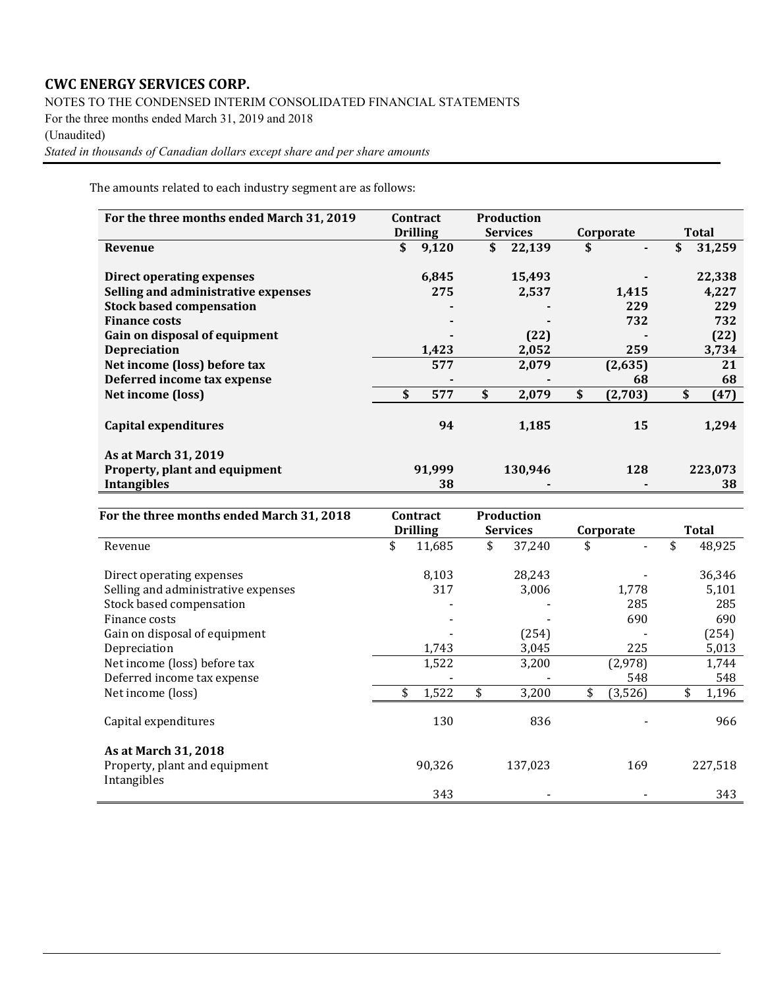NOTES TO THE CONDENSED INTERIM CONSOLIDATED FINANCIAL STATEMENTS

For the three months ended March 31, 2019 and 2018

(Unaudited)

*Stated in thousands of Canadian dollars except share and per share amounts*

The amounts related to each industry segment are as follows:

| For the three months ended March 31, 2019 | Contract |                 | <b>Production</b> |           |         |              |         |
|-------------------------------------------|----------|-----------------|-------------------|-----------|---------|--------------|---------|
|                                           |          | <b>Drilling</b> | <b>Services</b>   | Corporate |         | <b>Total</b> |         |
| Revenue                                   | \$       | 9,120           | \$<br>22,139      | \$        |         | \$           | 31,259  |
|                                           |          |                 |                   |           |         |              |         |
| Direct operating expenses                 |          | 6,845           | 15,493            |           |         |              | 22,338  |
| Selling and administrative expenses       |          | 275             | 2,537             |           | 1,415   |              | 4,227   |
| <b>Stock based compensation</b>           |          |                 |                   |           | 229     |              | 229     |
| <b>Finance costs</b>                      |          |                 |                   |           | 732     |              | 732     |
| Gain on disposal of equipment             |          |                 | (22)              |           |         |              | (22)    |
| <b>Depreciation</b>                       |          | 1,423           | 2,052             |           | 259     |              | 3,734   |
| Net income (loss) before tax              |          | 577             | 2,079             |           | (2,635) |              | 21      |
| Deferred income tax expense               |          |                 |                   |           | 68      |              | 68      |
| Net income (loss)                         | \$       | 577             | \$<br>2,079       | \$        | (2,703) | \$           | (47)    |
|                                           |          |                 |                   |           |         |              |         |
| Capital expenditures                      |          | 94              | 1,185             |           | 15      |              | 1,294   |
|                                           |          |                 |                   |           |         |              |         |
| As at March 31, 2019                      |          |                 |                   |           |         |              |         |
| Property, plant and equipment             |          | 91,999          | 130,946           |           | 128     |              | 223,073 |
| <b>Intangibles</b>                        |          | 38              |                   |           |         |              | 38      |

| For the three months ended March 31, 2018    |    | <b>Contract</b> | <b>Production</b> |           |         |       |             |
|----------------------------------------------|----|-----------------|-------------------|-----------|---------|-------|-------------|
|                                              |    | <b>Drilling</b> | <b>Services</b>   | Corporate |         | Total |             |
| Revenue                                      | \$ | 11,685          | \$<br>37,240      | \$        |         | \$    | 48,925      |
| Direct operating expenses                    |    | 8,103           | 28,243            |           |         |       | 36,346      |
| Selling and administrative expenses          |    | 317             | 3,006             |           | 1,778   |       | 5,101       |
| Stock based compensation                     |    |                 |                   |           | 285     |       | 285         |
| Finance costs                                |    |                 |                   |           | 690     |       | 690         |
| Gain on disposal of equipment                |    |                 | (254)             |           |         |       | (254)       |
| Depreciation                                 |    | 1,743           | 3,045             |           | 225     |       | 5,013       |
| Net income (loss) before tax                 |    | 1,522           | 3,200             |           | (2,978) |       | 1,744       |
| Deferred income tax expense                  |    |                 |                   |           | 548     |       | 548         |
| Net income (loss)                            | \$ | 1,522           | \$<br>3,200       | \$        | (3,526) |       | \$<br>1,196 |
| Capital expenditures                         |    | 130             | 836               |           |         |       | 966         |
| As at March 31, 2018                         |    |                 |                   |           |         |       |             |
| Property, plant and equipment<br>Intangibles |    | 90,326          | 137,023           |           | 169     |       | 227,518     |
|                                              |    | 343             |                   |           |         |       | 343         |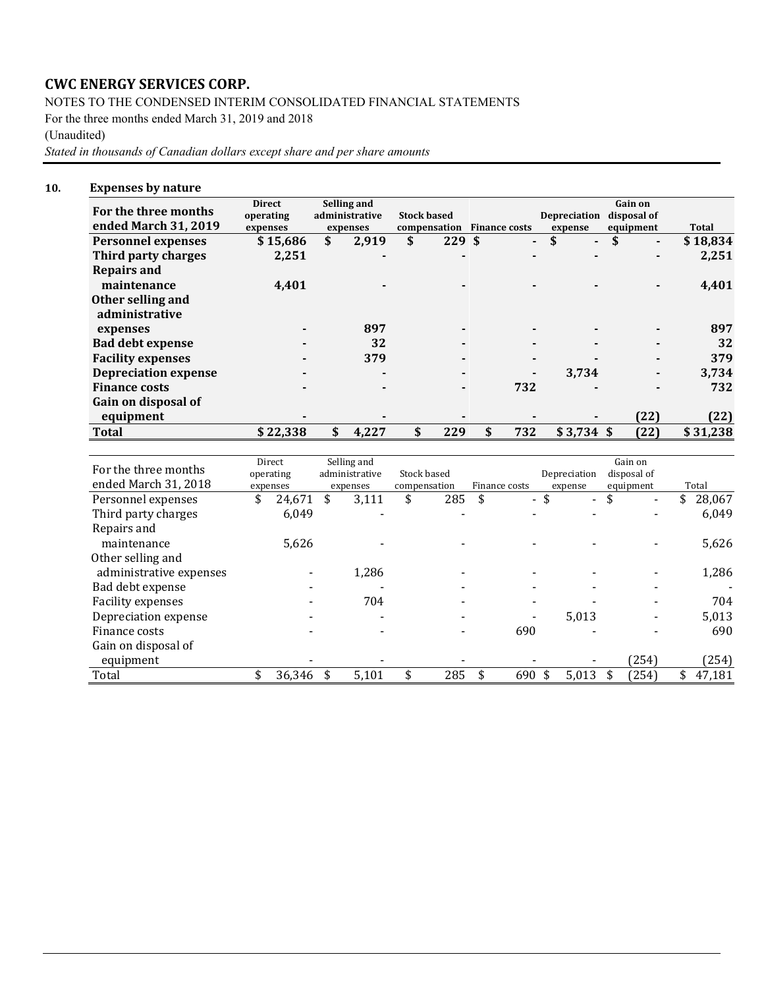NOTES TO THE CONDENSED INTERIM CONSOLIDATED FINANCIAL STATEMENTS

For the three months ended March 31, 2019 and 2018

(Unaudited)

*Stated in thousands of Canadian dollars except share and per share amounts*

#### **10. Expenses by nature**

| For the three months        | <b>Direct</b><br>operating | Selling and<br>administrative | <b>Stock based</b> |                            | Depreciation         | Gain on<br>disposal of |      |          |
|-----------------------------|----------------------------|-------------------------------|--------------------|----------------------------|----------------------|------------------------|------|----------|
| ended March 31, 2019        | expenses                   | expenses                      |                    | compensation Finance costs | expense              | equipment              |      | Total    |
| <b>Personnel expenses</b>   | \$15,686                   | \$<br>2,919                   | \$<br>229S         | ۰                          | \$<br>$\blacksquare$ |                        | ۰    | \$18,834 |
| Third party charges         | 2,251                      |                               |                    |                            |                      |                        |      | 2,251    |
| <b>Repairs and</b>          |                            |                               |                    |                            |                      |                        |      |          |
| maintenance                 | 4,401                      |                               | $\blacksquare$     |                            |                      |                        |      | 4,401    |
| Other selling and           |                            |                               |                    |                            |                      |                        |      |          |
| administrative              |                            |                               |                    |                            |                      |                        |      |          |
| expenses                    |                            | 897                           |                    |                            |                      |                        |      | 897      |
| <b>Bad debt expense</b>     |                            | 32                            |                    |                            |                      |                        |      | 32       |
| <b>Facility expenses</b>    |                            | 379                           |                    |                            |                      |                        |      | 379      |
| <b>Depreciation expense</b> |                            | $\blacksquare$                | $\blacksquare$     |                            | 3,734                |                        |      | 3,734    |
| <b>Finance costs</b>        |                            |                               |                    | 732                        |                      |                        |      | 732      |
| Gain on disposal of         |                            |                               |                    |                            |                      |                        |      |          |
| equipment                   |                            |                               |                    |                            |                      |                        | (22) | (22)     |
| <b>Total</b>                | \$22,338                   | \$<br>4.227                   | \$<br>229          | 732<br>\$                  | $$3,734$ \$          |                        | (22) | \$31,238 |

| For the three months    | Direct<br>operating | Selling and<br>administrative | Stock based  |               |      | Depreciation             | Gain on<br>disposal of |        |
|-------------------------|---------------------|-------------------------------|--------------|---------------|------|--------------------------|------------------------|--------|
| ended March 31, 2018    | expenses            | expenses                      | compensation | Finance costs |      | expense                  | equipment              | Total  |
| Personnel expenses      | \$<br>24,671        | 3,111                         | \$<br>285    | \$            | - \$ | $\overline{\phantom{a}}$ | \$                     | 28,067 |
| Third party charges     | 6,049               |                               |              |               |      |                          |                        | 6,049  |
| Repairs and             |                     |                               |              |               |      |                          |                        |        |
| maintenance             | 5,626               |                               |              |               |      |                          |                        | 5,626  |
| Other selling and       |                     |                               |              |               |      |                          |                        |        |
| administrative expenses |                     | 1,286                         |              |               |      |                          |                        | 1,286  |
| Bad debt expense        |                     |                               |              |               |      |                          |                        |        |
| Facility expenses       |                     | 704                           |              |               |      |                          |                        | 704    |
| Depreciation expense    |                     |                               |              |               |      | 5,013                    |                        | 5,013  |
| Finance costs           |                     |                               |              | 690           |      |                          |                        | 690    |
| Gain on disposal of     |                     |                               |              |               |      |                          |                        |        |
| equipment               |                     |                               |              |               |      |                          | (254)                  | (254)  |
| Total                   | 36,346              | 5,101                         | 285          | 690           | \$   | 5,013                    | (254)                  | 47,181 |